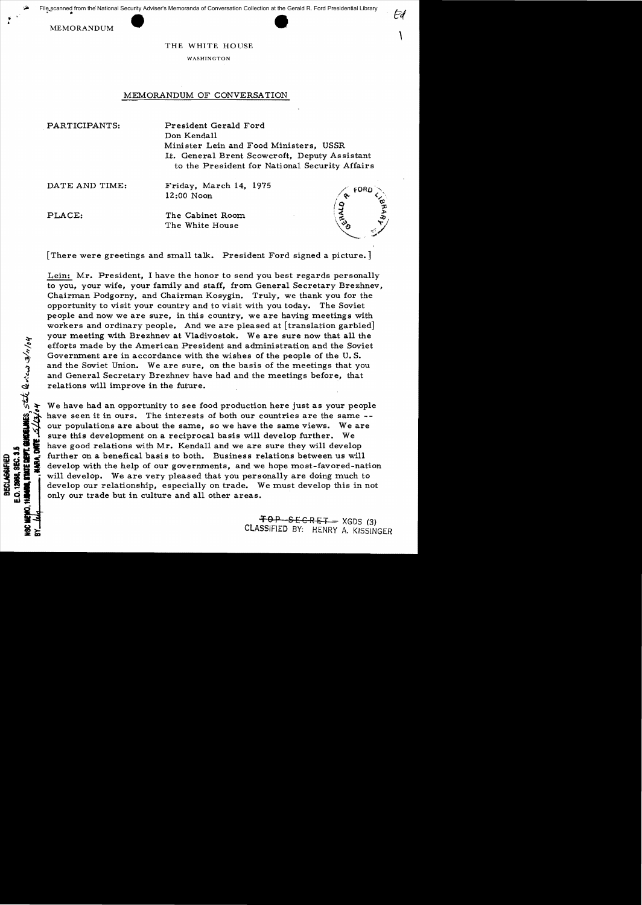MEMORANDUM

• " 

THE WHITE HOUSE

WASHINGTON

## MEMORANDUM OF CONVERSATION

PARTICIPANTS: President Gerald Ford Don Kendall Minister Lein and Food Ministers, USSR It. General Brent Scowcroft, Deputy Assistant to the President for National Security Affairs

DATE AND TIME: Friday, March 14, 1975 12:00 Noon

STATE DEPT. GUNDELINES, STATE Reviews 3/1/04

E.O. 12968, SEC. 3.5 **BECLASSIFIED** 

t

PLACE: The Cabinet Room The White House



Ed

[There were greetings and small talk. President Ford signed a picture.]

Lein: Mr. President, I have the honor to send you best regards personally to you, your wife, your family and staff, from General Secretary Brezhnev, Chairman Podgorny, and Chairman Kosygin. Truly, we thank you for the opportunity to visit your country and to visit with you today. The Soviet people and now we are sure, in this country, we are having meetings with workers and ordinary people. And we are pleased at [translation garbled] your meeting with Brezhnev at Vladivostok. Weare sure now that all the efforts made by the American President and administration and the Soviet Government are in accordance with the wishes of the people of the U. S. and the Soviet Union. We are sure, on the basis of the meetings that you and General Secretary Brezhnev have had and the meetings before, that relations will improve in the future.

We have had an opportunity to see food production here just as your people have seen it in ours. The interests of both our countries are the same -our populations are about the same, so we have the same views. We are sure this development on a reciprocal basis will develop further. We have good relations with Mr. Kendall and we are sure they will develop further on a benefical basis to both. Business relations between us will develop with the help of our governments, and we hope most-favored-nation will develop. We are very pleased that you personally are doing much to develop our relationship, especially on trade. We must develop this in not only our trade but in culture and all other areas.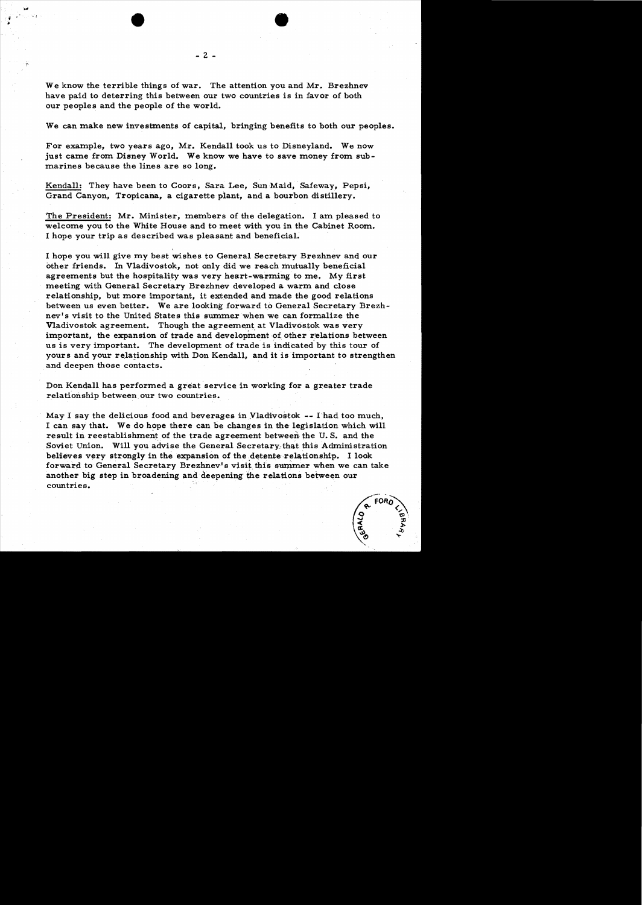We can make new investments of capital, bringing benefits to both our peoples.

For example, two years ago, Mr. Kendall took us to Disneyland. We now just came from Disney World. We know we have to save money from submarines because the lines are so long.

Kendall: They have been to Coors, Sara Lee, Sun Maid, Safeway, Pepsi, Grand Canyon, Tropicana., a cigarette plant, and a bourbon distillery.

The President: Mr. Minister, members of the delegation. I am pleased to welcome you to the White House and to meet with you in the Cabinet Room. I hope your trip as described was pleasant and beneficial.

I hope you will give my best wishes to General Secretary Brezhnev and our other friends. In Vladivostok, not only did we reach mutually beneficial agreements but the hospitality was very heart-warming to me. My first meeting with General Secretary Brezhnev developed a warm and close relationship, but more important, it extended and made the good relations between us even better. We are looking forward to General Secretary Brezhnev's visit to the United States this summer when we can formalize the Vladivostok agreement. Though the agreement at Vladivostok was very important, the expansion of trade and development of other relations between us is very important. The development of trade is indicated by this tour of yours and your relationship with Don Kendall, and it is important to strengthen and deepen those contacts.

Don Kendall has performed a great service in working for a greater trade relationship between our two countries.

May I say the delicious food and beverages in Yladivostok -- <sup>I</sup>had too much, I can say that. We do hope there can be changes in the legislation which will result in reestablishment of the trade agreement between the U.S. and the Soviet Union. Will you advise the General Secretary·that this Administration believes very strongly in the expansion of the detente relationship. I look forward to General Secretary Brezhnev's visit this summer when we can take another big step in broadening and deepening the relations between our countries.

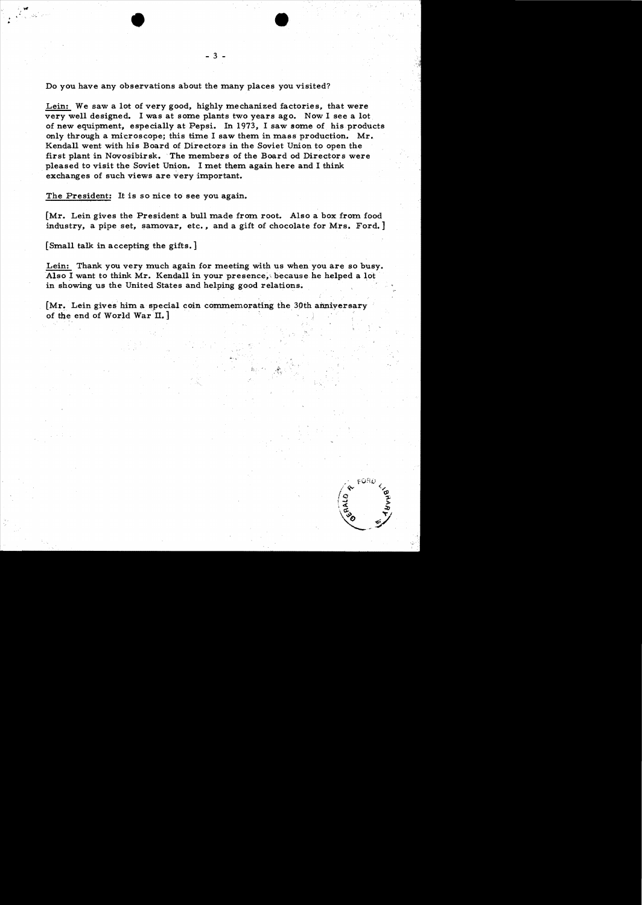Do you have any observations about the many places you visited?

Lein: We saw a lot of very good, highly mechanized factories, that were very well designed. I was at some plants two years ago. Now I see a lot of new equipment, especially at Pepsi. In 1973, I saw some of his products only through a microscope; this time I saw them in mass production.  $Mr.$ Kendall went with his Board of Directors in the Soviet Union to open the first plant in Novosibirsk. The members of the Board od Directors were pleased to visit the Soviet Union. I met them again here and I think exchanges of such views are very important.

The President: It is so nice to see you again.

[Mr. Lein gives the President a bull made from root. Also a box from food industry, a pipe set, samovar, etc., and a gift of chocolate for Mrs. Ford.]

[Small talk in accepting the gifts. ]

.<br>.<br>.

.. •

Lein: Thank you very much again for meeting with us when you are so busy. Also I want to think Mr. Kendall in your presence, because he helped a lot in showing us the United States and helping good relations.

 $Mr.$  Lein gives him a special coin commemorating the 30th anniversary of the end of World War  $II.$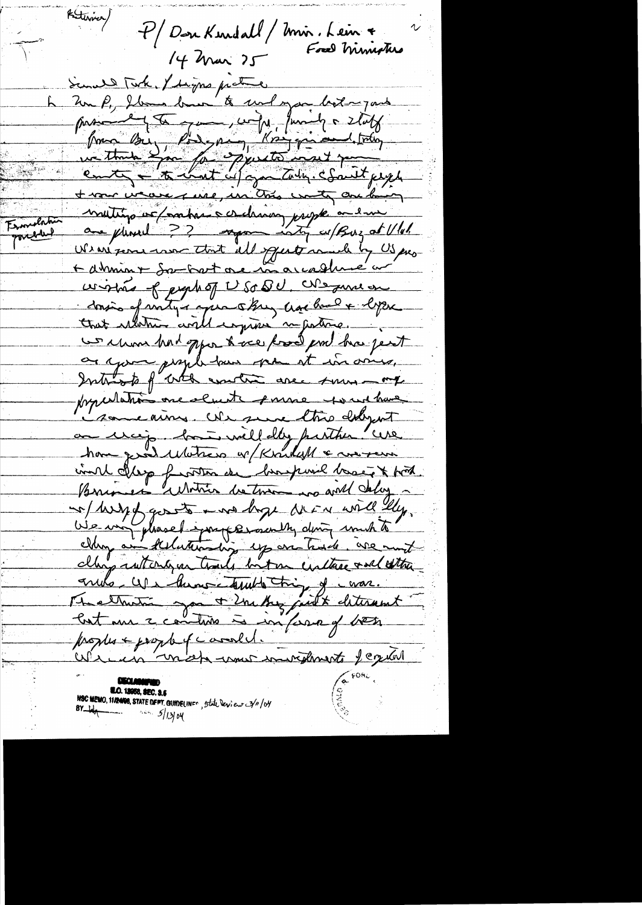Rutervier/ P/DouKendall/Imir. Lein + 14 Mar 25 Sand Took, I digne pratice Zur P, Ilma ban to und you both you passent de pour un pour la state from Bu, Pode par l'espignient trés + vour verare me, in this water are being muitin et / matrix cretiaux propte a en Ermulati porcelled We are former to that all squate much by US pro-Administrat de marcadhue a wished of people of USO QU, We sure on donnée et virty a après ling crois bail e leper we choose had oppon to accept the face pest as your proph-ban spa at in ones, Introp f'ath under are summer procedation one elect somme soud have i some ains. We see this deligent an using bort well day putter "use have good waters or Kruball & wereon coint depp frontes de banque bassé & tot so wry gosto me hope were will ly. vie un pleaset parferantly doing unit à clays without you trails but on curtage and other armete - We then contained things of corar. Methodis son + 2m by just deterent Contain 2 continues à important vos propher + propher ( correll. colecte mot mon comment jegete NSC MEMO, 1112400, STATE DEPT. GUINELINF<sup>e</sup>, 5tate levieur 3/11/04  $\frac{1}{2}$  and  $\frac{5}{13000}$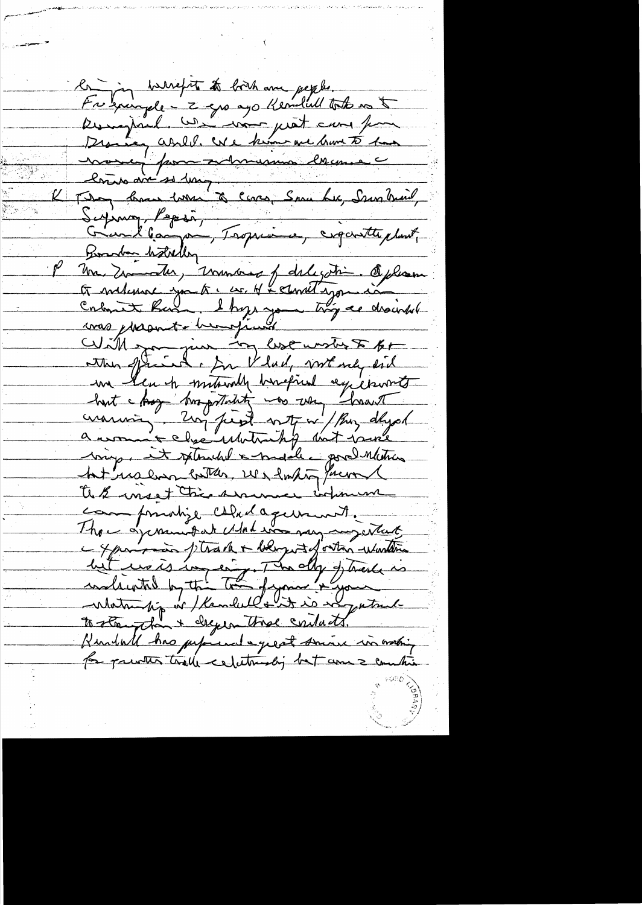la jon harrefut to both and people. the gaingele - 2 grs ago Kemiliell to to us to Designal use mor just aux pour Disne abill. We him me brunt to has money pour admension cercanne lime ave se long comme San Luc, Ssur Mail, Suping, Papie, Tropicine, cigarette plust, Boardan hotelly Un Zimmeter, vinnance of deligition Oxfrance<br>Et melement you to : en N-Amethypon aux With spanning lest unster If to un leuch mitourly banqued experient haut chay trapitalité vos un haust bring, it splended a middle good nation hat walno better we have found to & most this summer when we campmunize caludagement. Than a jammetat Modernay may intent - yours ptrack + bengit of ortin whenther lit us is impering. The day of treats is<br>indicated by the total figure & your is to strugglant deger three contacts. Kindall has performed a great suive in mothing for privates tralle celetionship but come & co